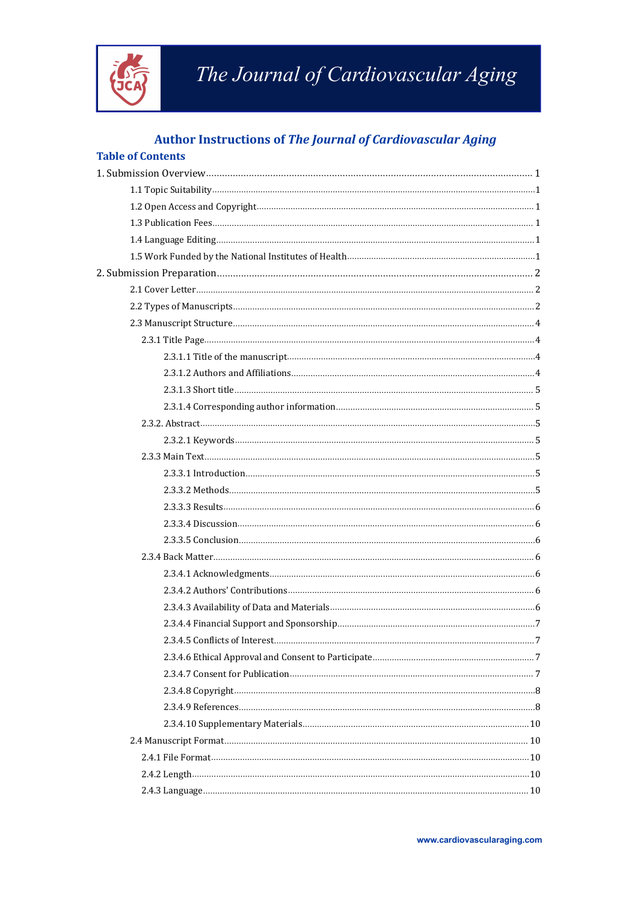

# The Journal of Cardiovascular Aging

# **Author Instructions of The Journal of Cardiovascular Aging**

### **Table of Contents**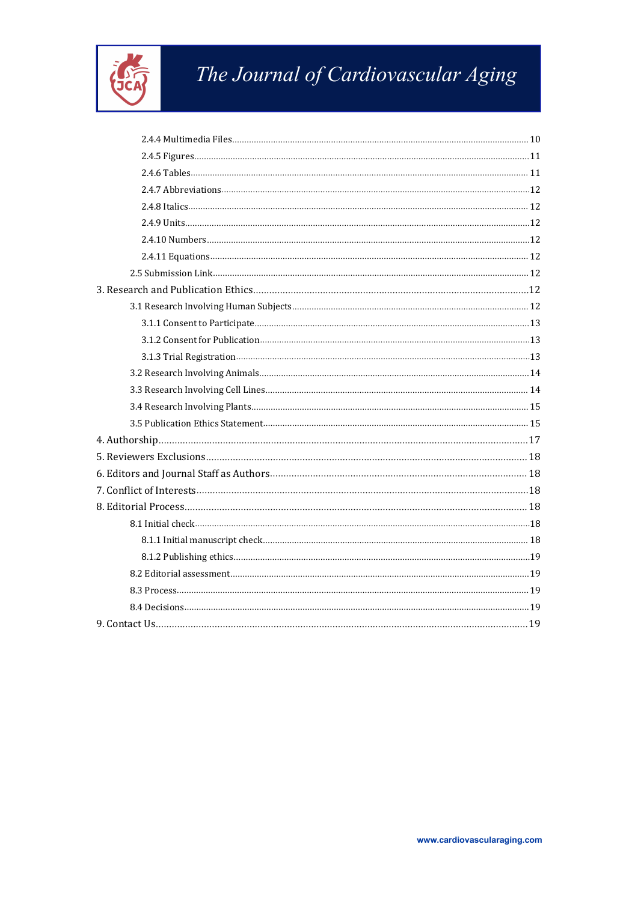

# The Journal of Cardiovascular Aging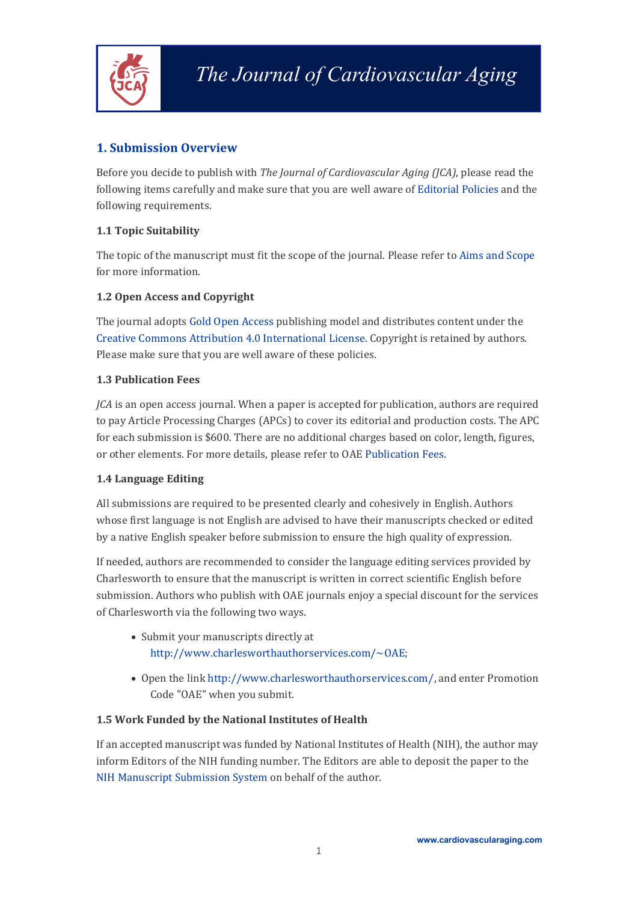

## <span id="page-2-0"></span>**1. Submission Overview**

Before you decide to publish with *The Journal of Cardiovascular Aging (JCA)*, please read the following items carefully and make sure that you are well aware of [Editorial](https://cardiovascularaging.com/pages/view/editorial_policies) Policies and the following requirements.

#### <span id="page-2-1"></span>**1.1 Topic Suitability**

The topic of the manuscript must fit the scope of the journal. Please refer to Aims and [Scope](https://cardiovascularaging.com/pages/view/aims_and_scope) for more information.

#### <span id="page-2-2"></span>**1.2 Open Access and Copyright**

The journal adopts Gold Open [Access](https://oaepublish.com/pages/view/open_access_policy) publishing model and distributes content under the Creative Commons Attribution 4.0 [International](https://creativecommons.org/licenses/by/4.0/?__cf_chl_captcha_tk__=b1e92561548158dd25c008194e15da1921c21236-1617959923-0-AXlDQ9L0T33gedqELld9DHCgcEhvtGZ1bhTslQrPfYEdb2bedIiYA1qlbh6fsgURAcC1LkQg3PANZcEFgSdr_SafHvvqhpCZzTlMRRM-YwmtUm49ZbGkLlevVTE8_mJvMeKmftrF9Kx1ybn5V3-uHIo_RrJd8yfZTv6PCeZk89Mg6Rw7wrRNu58GIaf50rBsfyikWcQ7QlfcRvjyq-9BuTyiuptMSS3GtcaFEI4FoksQl_cCcncOYs6nvdyOsUUdk-URlD2y24ERS_74PIZHgrFMe_CUZcnbaXbaLGC8cmn1BUSK841APYLQEErFXxnl7DewhTrXdJDSpp1hDbOv51iudOVyfhOa-QwWOZcqHgjOcX5KIeq27PTz6jRb1QRiTE2rhkpGxNQRPESSIo1BFx6H6NfstqputXL3q7ogLpdPTBRCw6AJz6iDhYtFfWgZg8FCf1Q8KrIYPeD8f9hYfo0sELkg-V7drBe2m0_DTaKQNrRGc88O15MOYxya2zGbywYZOANvudFiCYTFejV7bV3iW4YvFcSPkkYDdL-rqv9rJx5h9Xi9xfiB16yuwM9e0BZPBzq_AHs1lOIr1rApe6lLNtzvrglc4sGtmt16SOSM_KRxPzfhjpBrW9w-oI8ilGDTQ54TD8tbTffReiJ6qOohHIN0Qczexn1MGML6cMdF) License. Copyright is retained by authors. Please make sure that you are well aware of these policies.

#### <span id="page-2-3"></span>**1.3 Publication Fees**

*JCA* is an open access journal. When a paper is accepted for publication, authors are required to pay Article Processing Charges (APCs) to cover its editorial and production costs. The APC for each submission is \$600. There are no additional charges based on color, length, figures, or other elements. For more details, please refer to OAE [Publication](https://oaepublish.com/pages/view/publication_fees) Fees.

#### <span id="page-2-4"></span>**1.4 Language Editing**

All submissions are required to be presented clearly and cohesively in English. Authors whose first language is not English are advised to have their manuscripts checked or edited by a native English speaker before submission to ensure the high quality of expression.

If needed, authors are recommended to consider the language editing services provided by Charlesworth to ensure that the manuscript is written in correct scientific English before submission. Authors who publish with OAE journals enjoy a special discount for the services of Charlesworth via the following two ways.

- Submit your manuscripts directly at <http://www.charlesworthauthorservices.com/~OAE>;
- Open the link <http://www.charlesworthauthorservices.com/>, and enter Promotion Code "OAE" when you submit.

#### <span id="page-2-5"></span>**1.5 Work Funded by the NationalInstitutes of Health**

If an accepted manuscript was funded by National Institutes of Health (NIH), the author may inform Editors of the NIH funding number. The Editors are able to deposit the paper to the NIH Manuscript [Submission](https://www.nihms.nih.gov/login/?next=/submission/) System on behalf of the author.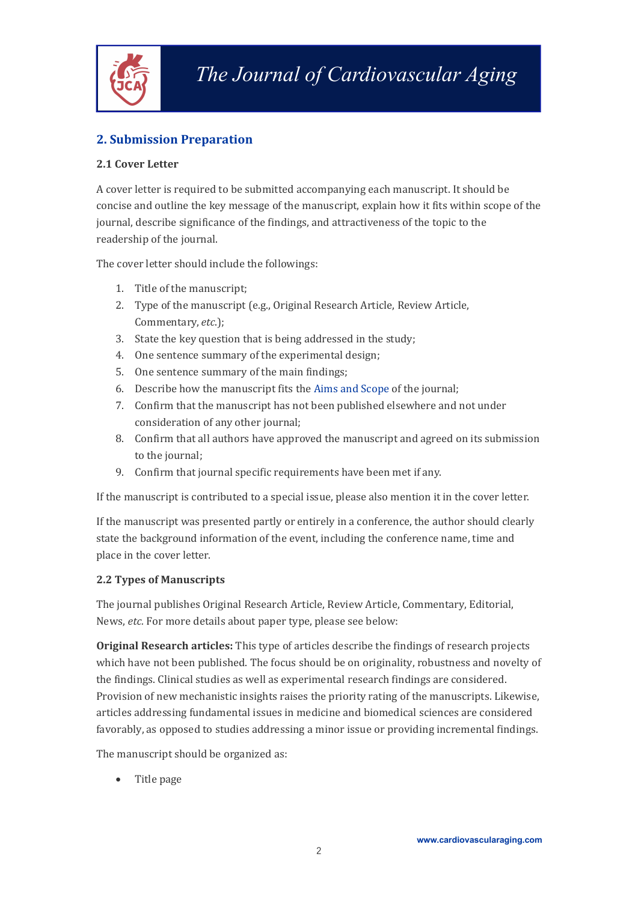

# <span id="page-3-0"></span>**2. Submission Preparation**

#### <span id="page-3-1"></span>**2.1 Cover Letter**

A cover letter is required to be submitted accompanying each manuscript. It should be concise and outline the key message of the manuscript, explain how it fits within scope of the journal, describe significance of the findings, and attractiveness of the topic to the readership of the journal.

The cover letter should include the followings:

- 1. Title of the manuscript;
- 2. Type of the manuscript (e.g., Original Research Article, Review Article, Commentary, *etc*.);
- 3. State the key question that is being addressed in the study;
- 4. One sentence summary of the experimental design;
- 5. One sentence summary of the main findings;
- 6. Describe how the manuscript fits the Aims and [Scope](https://cardiovascularaging.com/pages/view/aims_and_scope) of the journal;
- 7. Confirm that the manuscript has not been published elsewhere and not under consideration of any other journal;
- 8. Confirm that all authors have approved the manuscript and agreed on its submission to the journal;
- 9. Confirm that journal specific requirements have been met if any.

If the manuscript is contributed to a special issue, please also mention it in the cover letter.

If the manuscript was presented partly or entirely in a conference, the author should clearly state the background information of the event, including the conference name, time and place in the cover letter.

#### <span id="page-3-2"></span>**2.2 Types of Manuscripts**

The journal publishes Original Research Article, Review Article, Commentary, Editorial, News, *etc.* For more details about paper type, please see below:

**Original Research articles:** This type of articles describe the findings of research projects which have not been published. The focus should be on originality, robustness and novelty of the findings. Clinical studies as well as experimental research findings are considered. Provision of new mechanistic insights raises the priority rating of the manuscripts. Likewise, articles addressing fundamental issues in medicine and biomedical sciences are considered favorably, as opposed to studies addressing a minor issue or providing incremental findings.

The manuscript should be organized as:

• Title page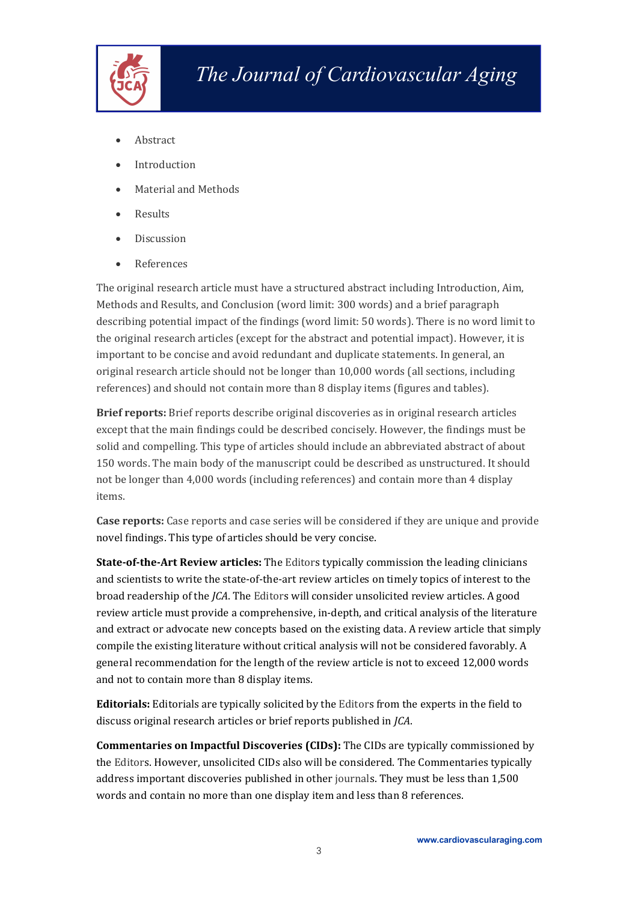

- Abstract
- Introduction
- Material and Methods
- Results
- Discussion
- References

The original research article must have a structured abstract including Introduction, Aim, Methods and Results, and Conclusion (word limit: 300 words) and a brief paragraph describing potential impact of the findings (word limit: 50 words). There is no word limit to the original research articles (except for the abstract and potential impact). However, it is important to be concise and avoid redundant and duplicate statements. In general, an original research article should not be longer than 10,000 words (all sections, including references) and should not contain more than 8 display items (figures and tables).

**Brief reports:** Brief reports describe original discoveries as in original research articles except that the main findings could bedescribed concisely. However, the findings must be solid and compelling. This type of articles should include an abbreviated abstract of about 150 words. The main body of the manuscript could bedescribed as unstructured. It should not be longer than 4,000 words (including references) and contain more than 4 display items.

**Case reports:** Case reports and case series will be considered if they are unique and provide novel findings. This type of articles should be very concise.

**State-of-the-Art Review articles:** The Editors typically commission the leading clinicians and scientists to write the state-of-the-art review articles on timely topics ofinterest to the broad readership of the *JCA*. The Editors will consider unsolicited review articles. A good review article must provide a comprehensive, in-depth, and critical analysis of the literature and extract or advocate new concepts based on the existing data. A review article that simply compile the existing literature without critical analysis will not be considered favorably. A general recommendation for the length of the review article is not to exceed 12,000 words and not to contain more than 8 display items.

**Editorials:** Editorials are typically solicited by the Editors from the experts in the field to discuss original research articles or brief reports published in *JCA*.

**Commentaries on Impactful Discoveries (CIDs):** The CIDs are typically commissioned by the Editors. However, unsolicited CIDs also will be considered. The Commentaries typically address important discoveries published in other journals.They must be less than 1,500 words and contain no more than one display item and less than 8 references.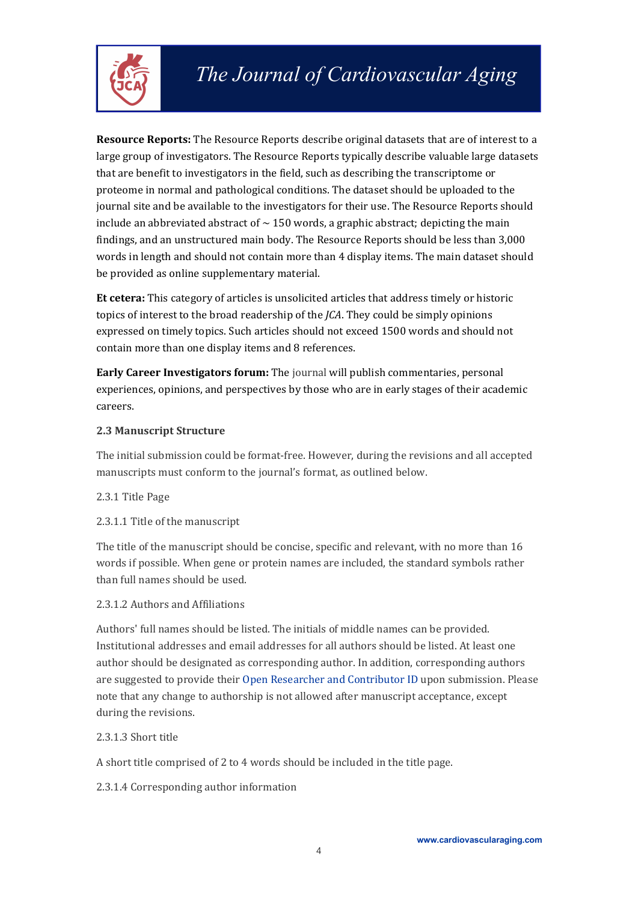

**Resource Reports:** The Resource Reports describe original datasets that are of interest to a large group of investigators. The Resource Reports typically describe valuable large datasets that are benefit to investigators in the field, such as describing the transcriptome or proteome in normal and pathological conditions. The dataset should be uploaded to the journal site and be available to the investigators for their use. The Resource Reports should include an abbreviated abstract of  $\sim$  150 words, a graphic abstract; depicting the main findings, and an unstructured main body. The Resource Reports should be less than 3,000 words in length and should not contain more than 4 display items. The main dataset should be provided as online supplementary material.

**Et cetera:** This category of articles is unsolicited articles that address timely or historic topics of interest to the broad readership of the *JCA*. They could besimply opinions expressed on timely topics. Such articles should not exceed 1500 words and should not contain more than one display items and 8 references.

**Early Career Investigators forum:** The journal will publish commentaries, personal experiences, opinions, and perspectives by those who are in early stages of their academic careers.

#### <span id="page-5-0"></span>**2.3 Manuscript Structure**

The initial submission could be format-free. However, during the revisions and all accepted manuscripts must conform to the journal's format, as outlined below.

<span id="page-5-1"></span>2.3.1 Title Page

<span id="page-5-2"></span>2.3.1.1 Title of the manuscript

The title of the manuscript should be concise, specific and relevant, with no more than 16 words if possible. When gene or protein names are included, the standard symbols rather than full names should be used.

#### <span id="page-5-3"></span>2.3.1.2 Authors and Affiliations

Authors' full names should belisted. The initials of middle names can be provided. Institutional addresses and email addresses for all authors should belisted. At least one author should be designated as corresponding author. In addition, corresponding authors are suggested to provide their Open Researcher and [Contributor](https://orcid.org/) ID upon submission. Please note that any change to authorship is not allowed after manuscript acceptance, except during the revisions.

### <span id="page-5-4"></span>2.3.1.3 Short title

A short title comprised of 2 to 4 words should be included in the title page.

<span id="page-5-5"></span>2.3.1.4 Corresponding author information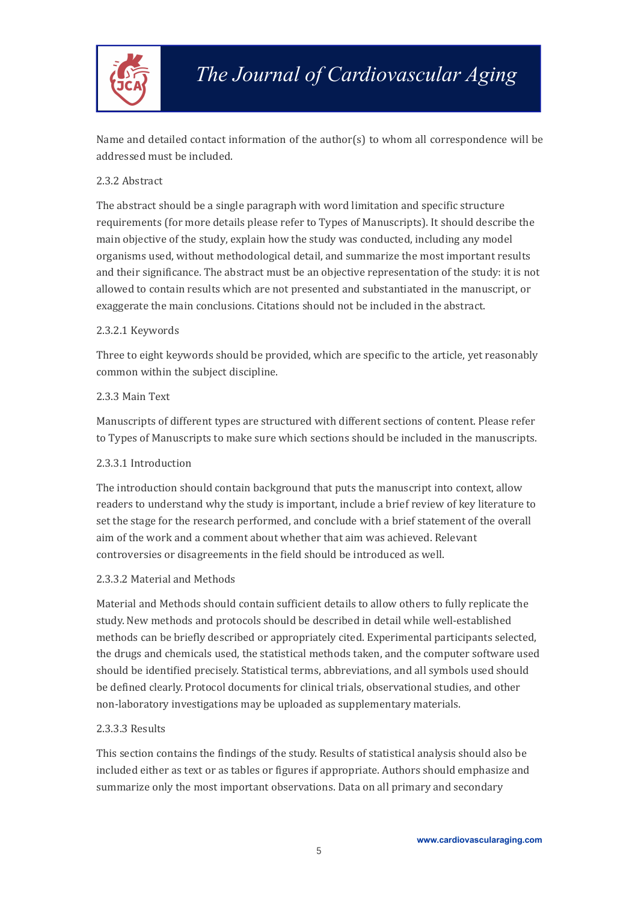

Name and detailed contact information of the author(s) to whom all correspondence will be addressed must be included.

#### <span id="page-6-0"></span>2.3.2 Abstract

The abstract should be a single paragraph with word limitation and specific structure requirements (for more details please refer to Types of Manuscripts). It should describe the main objective of the study, explain how the study was conducted, including any model organisms used, without methodological detail, and summarize the most important results and their significance. The abstract must be an objective representation of the study: it is not allowed to contain results which are not presented and substantiated in the manuscript, or exaggerate the main conclusions. Citations should not be included in the abstract.2.3.2.1 Keywords

<span id="page-6-1"></span>Three to eight keywords should be provided, which are specific to the article, yet reasonably common within the subject discipline.

#### <span id="page-6-2"></span>2.3.3 Main Text

Manuscripts of different types are structured with different sections of content. Please refer to Types of Manuscripts to make sure which sections should be included in the manuscripts.

#### <span id="page-6-3"></span>2.3.3.1 Introduction

The introduction should contain background that puts the manuscript into context, allow readers to understand why the study is important, include a brief review of key literature to set the stage for the research performed, and conclude with a brief statement of the overall aim of the work and a comment about whether that aim was achieved. Relevant controversies or disagreements in the field should be introduced as well.

#### <span id="page-6-4"></span>2.3.3.2 Material and Methods

Material and Methods should contain sufficient details to allow others to fully replicate the study. New methods and protocols should be described in detail while well-established methods can be briefly described or appropriately cited. Experimental participants selected, the drugs and chemicals used, the statistical methods taken, and the computer software used should be identified precisely. Statistical terms, abbreviations, and all symbols used should be defined clearly. Protocol documents for clinical trials, observational studies, and other non-laboratory investigations may be uploaded as supplementary materials.

#### <span id="page-6-5"></span>2.3.3.3 Results

This section contains the findings of the study. Results of statistical analysis should also be included either as text or as tables or figures if appropriate. Authors should emphasize and summarize only the most important observations. Data on all primary and secondary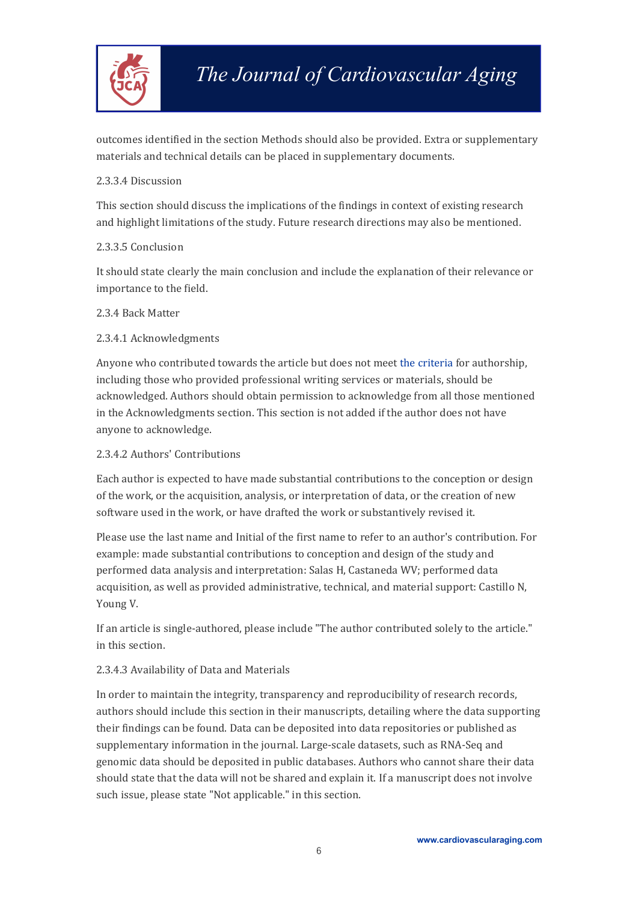

outcomes identified in the section Methods should also be provided. Extra or supplementary materials and technical details can be placed in supplementary documents.

#### <span id="page-7-0"></span>2.3.3.4 Discussion

This section should discuss the implications of the findings in context of existing research and highlight limitations of the study. Future research directions may also be mentioned.

#### <span id="page-7-1"></span>2.3.3.5 Conclusion

It should state clearly the main conclusion and include the explanation of their relevance or importance to the field.

#### <span id="page-7-2"></span>2.3.4 Back Matter

#### <span id="page-7-3"></span>2.3.4.1 Acknowledgments

Anyone who contributed towards the article but does not meet the [criteria](http://www.icmje.org/recommendations/browse/roles-and-responsibilities/defining-the-role-of-authors-and-contributors.html) for authorship, including those who provided professional writing services or materials, should be acknowledged. Authors should obtain permission to acknowledge from all those mentioned in the Acknowledgments section. This section is not added if the author does not have anyone to acknowledge.

#### <span id="page-7-4"></span>2.3.4.2 Authors' Contributions

Each author is expected to have made substantial contributions to the conception or design of the work, or the acquisition, analysis, or interpretation of data, or the creation of new software used in the work, or have drafted the work or substantively revised it.

Please use the last name and Initial of the first name to refer to an author's contribution. For example: made substantial contributions to conception and design of the study and performed data analysis and interpretation: Salas H, Castaneda WV; performed data acquisition, as well as provided administrative, technical, and material support: Castillo N, Young V.

If an article is single-authored, please include "The author contributed solely to the article." in this section.

#### <span id="page-7-5"></span>2.3.4.3 Availability of Data and Materials

In order to maintain the integrity, transparency and reproducibility of research records, authors should include this section in their manuscripts, detailing where the data supporting their findings can be found. Data can be deposited into data repositories or published as supplementary information in the journal. Large-scale datasets, such as RNA-Seq and genomic data should be deposited in public databases. Authors who cannot share their data should state that the data will not be shared and explain it. If a manuscript does not involve such issue, please state "Not applicable." in this section.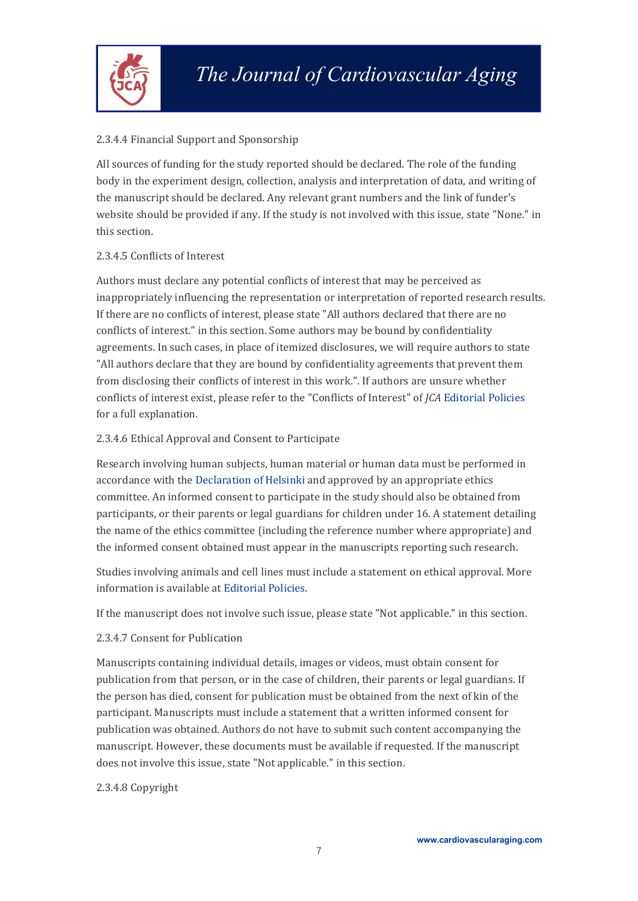

#### <span id="page-8-0"></span>2.3.4.4 Financial Support and Sponsorship

All sources of funding for the study reported should bedeclared. The role of the funding body in the experiment design, collection, analysis and interpretation of data, and writing of the manuscript should be declared. Any relevant grant numbers and the link of funder's website should be provided if any. If the study is not involved with this issue, state "None." in this section.

#### <span id="page-8-1"></span>2.3.4.5 Conflicts of Interest

Authors must declare any potential conflicts of interest that may be perceived as inappropriately influencing the representation or interpretation of reported research results. If there are no conflicts of interest, please state "Allauthors declared that there are no conflicts of interest." in this section. Some authors may be bound by confidentiality agreements. In such cases, in place of itemized disclosures, we will require authors to state "All authors declare that they are bound by confidentiality agreements that prevent them from disclosing their conflicts of interest in this work.". If authors are unsure whether conflicts of interest exist, please refer to the "Conflicts of Interest" of *JCA* [Editorial](https://cardiovascularaging.com/pages/view/editorial_policies) Policies for a full explanation.

#### <span id="page-8-2"></span>2.3.4.6 Ethical Approval and Consent to Participate

Research involving human subjects, human material or human data must be performed in accordance with the [Declaration](https://www.wma.net/policies-post/wma-declaration-of-helsinki-ethical-principles-for-medical-research-involving-human-subjects/) of Helsinki and approved by an appropriate ethics committee. An informed consent to participate in the study should also be obtained from participants, or their parents or legal guardians for children under 16. A statement detailing the name of the ethics committee (including the reference number where appropriate) and the informed consent obtained must appear in the manuscripts reporting such research.

Studies involving animals and cell lines must include a statement on ethical approval. More information is available at [Editorial](https://cardiovascularaging.com/pages/view/editorial_policies) Policies.

If the manuscript does notinvolve such issue, please state "Not applicable." in this section.

#### <span id="page-8-3"></span>2.3.4.7 Consent for Publication

Manuscripts containing individual details, images or videos, must obtain consent for publication from that person, or in the case of children, their parents or legal guardians. If the person has died, consent for publication must be obtained from the next of kin of the participant. Manuscripts must include a statement that a written informed consent for publication was obtained.Authors do not have to submit such content accompanying the manuscript. However, these documents must be available if requested. If the manuscript does not involve this issue, state "Not applicable." in this section.

#### <span id="page-8-4"></span>2.3.4.8 Copyright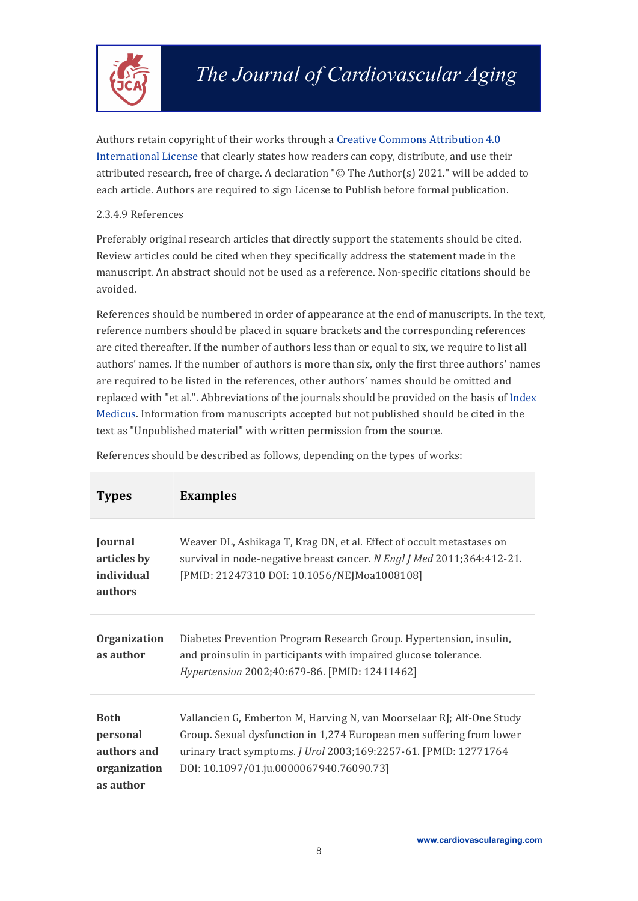

Authors retain copyright of their works through a Creative Commons [Attribution](https://creativecommons.org/licenses/by/4.0/?__cf_chl_captcha_tk__=b1e92561548158dd25c008194e15da1921c21236-1617959923-0-AXlDQ9L0T33gedqELld9DHCgcEhvtGZ1bhTslQrPfYEdb2bedIiYA1qlbh6fsgURAcC1LkQg3PANZcEFgSdr_SafHvvqhpCZzTlMRRM-YwmtUm49ZbGkLlevVTE8_mJvMeKmftrF9Kx1ybn5V3-uHIo_RrJd8yfZTv6PCeZk89Mg6Rw7wrRNu58GIaf50rBsfyikWcQ7QlfcRvjyq-9BuTyiuptMSS3GtcaFEI4FoksQl_cCcncOYs6nvdyOsUUdk-URlD2y24ERS_74PIZHgrFMe_CUZcnbaXbaLGC8cmn1BUSK841APYLQEErFXxnl7DewhTrXdJDSpp1hDbOv51iudOVyfhOa-QwWOZcqHgjOcX5KIeq27PTz6jRb1QRiTE2rhkpGxNQRPESSIo1BFx6H6NfstqputXL3q7ogLpdPTBRCw6AJz6iDhYtFfWgZg8FCf1Q8KrIYPeD8f9hYfo0sELkg-V7drBe2m0_DTaKQNrRGc88O15MOYxya2zGbywYZOANvudFiCYTFejV7bV3iW4YvFcSPkkYDdL-rqv9rJx5h9Xi9xfiB16yuwM9e0BZPBzq_AHs1lOIr1rApe6lLNtzvrglc4sGtmt16SOSM_KRxPzfhjpBrW9w-oI8ilGDTQ54TD8tbTffReiJ6qOohHIN0Qczexn1MGML6cMdF) 4.0 International License that clearly states how readers can copy, distribute, and use their attributed research, free of charge. A declaration "© The Author(s) 2021." will be added to each article. Authors are required to sign License to Publish before formal publication.

#### <span id="page-9-0"></span>2.3.4.9 References

Preferably original research articles that directly support the statements should be cited. Review articles could be cited when they specifically address the statement made in the manuscript. An abstract should not be used as a reference. Non-specific citations should be avoided.

References should be numbered in order of appearance at the end of manuscripts. In the text, reference numbers should be placed in square brackets and the corresponding references are cited thereafter. If the number of authors less than or equal to six, we require to list all authors' names. If the number of authors is more than six, only the first three authors' names are required to be listed in the references, other authors' names should be omitted and replaced with "et al.". Abbreviations of the journals should be provided on the basis of [Index](http://www2.bg.am.poznan.pl/czasopisma/medicus.php?lang=eng) Medicus. Information from manuscripts accepted but not published should be cited in the text as "Unpublished material" with written permission from the source.

| <b>Types</b>                                                        | <b>Examples</b>                                                                                                                                                                                                                                              |
|---------------------------------------------------------------------|--------------------------------------------------------------------------------------------------------------------------------------------------------------------------------------------------------------------------------------------------------------|
| Journal<br>articles by<br>individual<br>authors                     | Weaver DL, Ashikaga T, Krag DN, et al. Effect of occult metastases on<br>survival in node-negative breast cancer. N Engl J Med 2011;364:412-21.<br>[PMID: 21247310 DOI: 10.1056/NEJMoa1008108]                                                               |
| <b>Organization</b><br>as author                                    | Diabetes Prevention Program Research Group. Hypertension, insulin,<br>and proinsulin in participants with impaired glucose tolerance.<br>Hypertension 2002;40:679-86. [PMID: 12411462]                                                                       |
| <b>Both</b><br>personal<br>authors and<br>organization<br>as author | Vallancien G, Emberton M, Harving N, van Moorselaar RJ; Alf-One Study<br>Group. Sexual dysfunction in 1,274 European men suffering from lower<br>urinary tract symptoms. J Urol 2003;169:2257-61. [PMID: 12771764<br>DOI: 10.1097/01.ju.0000067940.76090.73] |

References should be described as follows, depending on the types of works: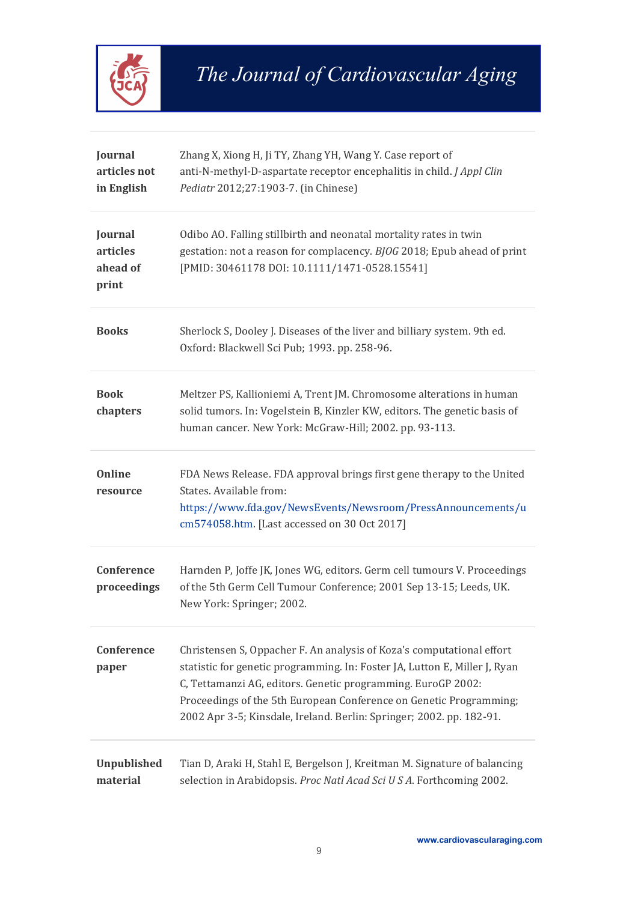

| Journal<br>articles not<br>in English    | Zhang X, Xiong H, Ji TY, Zhang YH, Wang Y. Case report of<br>anti-N-methyl-D-aspartate receptor encephalitis in child. J Appl Clin<br>Pediatr 2012;27:1903-7. (in Chinese)                                                                                                                                                                                        |
|------------------------------------------|-------------------------------------------------------------------------------------------------------------------------------------------------------------------------------------------------------------------------------------------------------------------------------------------------------------------------------------------------------------------|
| Journal<br>articles<br>ahead of<br>print | Odibo AO. Falling stillbirth and neonatal mortality rates in twin<br>gestation: not a reason for complacency. BJOG 2018; Epub ahead of print<br>[PMID: 30461178 DOI: 10.1111/1471-0528.15541]                                                                                                                                                                     |
| <b>Books</b>                             | Sherlock S, Dooley J. Diseases of the liver and billiary system. 9th ed.<br>Oxford: Blackwell Sci Pub; 1993. pp. 258-96.                                                                                                                                                                                                                                          |
| <b>Book</b><br>chapters                  | Meltzer PS, Kallioniemi A, Trent JM. Chromosome alterations in human<br>solid tumors. In: Vogelstein B, Kinzler KW, editors. The genetic basis of<br>human cancer. New York: McGraw-Hill; 2002. pp. 93-113.                                                                                                                                                       |
| <b>Online</b><br>resource                | FDA News Release. FDA approval brings first gene therapy to the United<br>States. Available from:<br>https://www.fda.gov/NewsEvents/Newsroom/PressAnnouncements/u<br>cm574058.htm. [Last accessed on 30 Oct 2017]                                                                                                                                                 |
| Conference<br>proceedings                | Harnden P, Joffe JK, Jones WG, editors. Germ cell tumours V. Proceedings<br>of the 5th Germ Cell Tumour Conference; 2001 Sep 13-15; Leeds, UK.<br>New York: Springer; 2002.                                                                                                                                                                                       |
| Conference<br>paper                      | Christensen S, Oppacher F. An analysis of Koza's computational effort<br>statistic for genetic programming. In: Foster JA, Lutton E, Miller J, Ryan<br>C, Tettamanzi AG, editors. Genetic programming. EuroGP 2002:<br>Proceedings of the 5th European Conference on Genetic Programming;<br>2002 Apr 3-5; Kinsdale, Ireland. Berlin: Springer; 2002. pp. 182-91. |
| <b>Unpublished</b><br>material           | Tian D, Araki H, Stahl E, Bergelson J, Kreitman M. Signature of balancing<br>selection in Arabidopsis. Proc Natl Acad Sci U S A. Forthcoming 2002.                                                                                                                                                                                                                |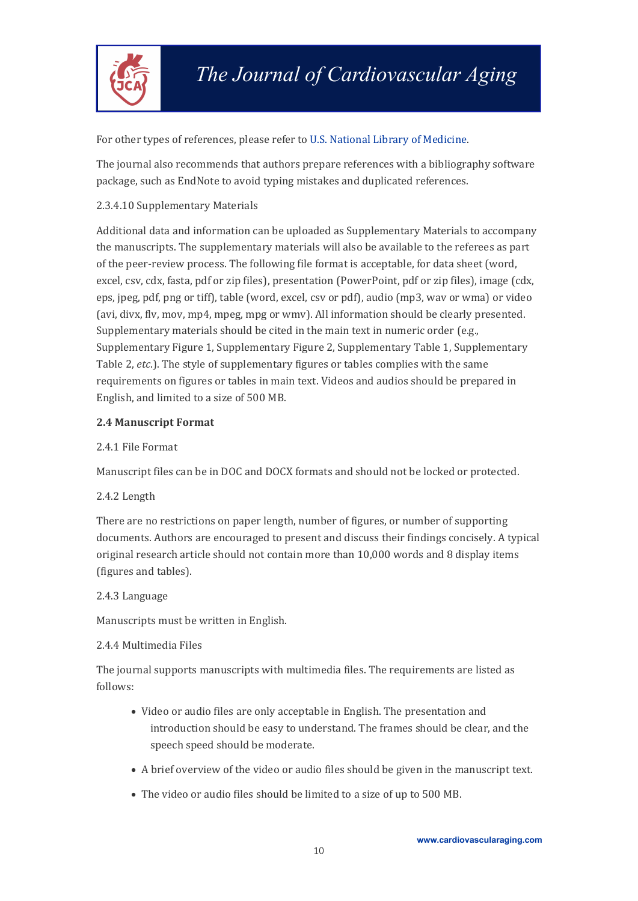

#### For other types of references, please refer to U.S. National Library of [Medicine.](https://www.nlm.nih.gov/bsd/uniform_requirements.html)

The journal also recommends that authors prepare references with a bibliography software package, such as EndNote to avoid typing mistakes and duplicated references.

#### <span id="page-11-0"></span>2.3.4.10 Supplementary Materials

Additional data and information can be uploaded as Supplementary Materials to accompany the manuscripts. The supplementary materials will also be available to the referees as part of the peer-review process. The following file format is acceptable, for data sheet (word, excel, csv, cdx, fasta, pdf or zip files), presentation (PowerPoint, pdf or zip files), image (cdx, eps, jpeg, pdf, png or tiff), table (word, excel, csv or pdf), audio (mp3, wav or wma) or video (avi, divx, flv, mov, mp4, mpeg, mpg or wmv). All information should beclearly presented. Supplementary materials should be cited in the main text in numeric order (e.g., Supplementary Figure 1, Supplementary Figure 2, Supplementary Table 1, Supplementary Table 2, *etc*.). The style of supplementary figures or tables complies with the same requirements on figures or tables in main text. Videos and audios should be prepared in English, and limited to a size of 500 MB.

#### <span id="page-11-1"></span>**2.4 Manuscript Format**

#### <span id="page-11-2"></span>2.4.1 File Format

Manuscript files can be in DOC and DOCX formats and should not be locked or protected.

#### <span id="page-11-3"></span>2.4.2 Length

There are no restrictions on paper length, number of figures, or number of supporting documents. Authors are encouraged to present and discuss their findings concisely. A typical original research article should not contain more than 10,000 words and 8 display items (figures and tables).

#### <span id="page-11-4"></span>2.4.3 Language

Manuscripts must be written in English.

#### <span id="page-11-5"></span>2.4.4 Multimedia Files

The journal supports manuscripts with multimedia files. The requirements are listed as follows:

- Video or audio files are only acceptable in English. The presentation and introduction should be easy to understand. The frames should be clear, and the speech speed should be moderate.
- A brief overview of the video or audio files should begiven in the manuscript text.
- The video or audio files should be limited to a size of up to 500 MB.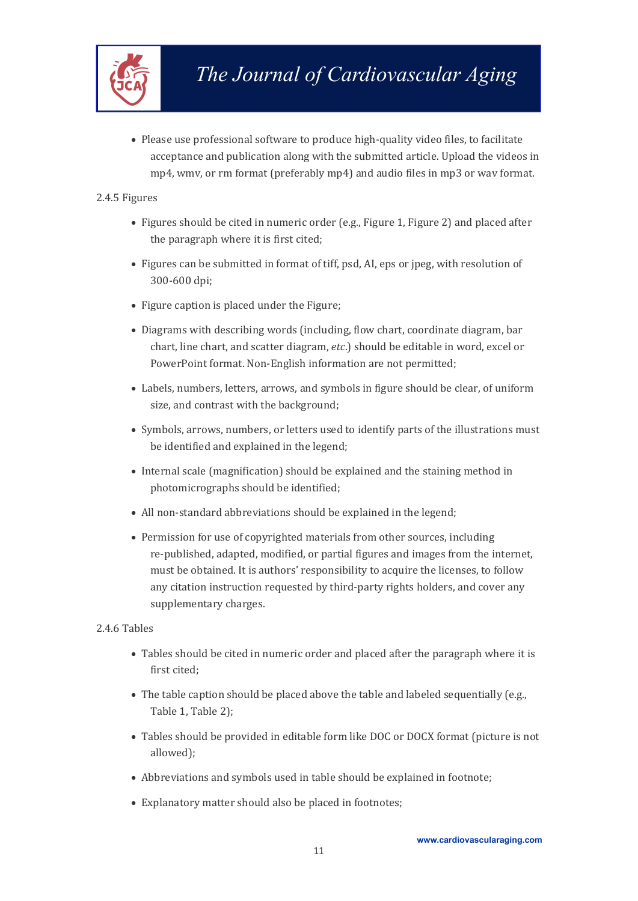

 Please use professional software to produce high-quality video files, to facilitate acceptance and publication along with the submitted article. Upload the videos in mp4, wmv, or rm format (preferably mp4) and audio files in mp3 or wav format.

#### <span id="page-12-0"></span>2.4.5 Figures

- Figures should be cited in numeric order (e.g., Figure 1, Figure 2) and placed after the paragraph where it is first cited;
- Figures can be submitted in format of tiff, psd, AI, eps or jpeg, with resolution of 300-600 dpi;
- Figure caption is placed under the Figure;
- Diagrams with describing words (including, flow chart, coordinate diagram, bar chart, line chart, and scatter diagram, *etc*.) should be editable in word, excel or PowerPoint format. Non-English information are not permitted;
- Labels, numbers, letters, arrows, and symbols in figure should be clear, of uniform size, and contrast with the background;
- Symbols, arrows, numbers, or letters used to identify parts of the illustrations must be identified and explained in the legend;
- Internal scale (magnification) should be explained and the staining method in photomicrographs should be identified:
- All non-standard abbreviations should be explained in the legend;
- Permission for use of copyrighted materials from other sources, including re-published, adapted, modified, or partial figures and images from the internet, must be obtained. It is authors' responsibility to acquire the licenses, to follow any citation instruction requested by third-party rights holders, and cover any supplementary charges.

#### <span id="page-12-1"></span>2.4.6 Tables

- Tables should be cited in numeric order and placed after the paragraph where it is first cited;
- The table caption should be placed above the table and labeled sequentially (e.g., Table 1, Table 2);
- Tables should be provided in editable form like DOC or DOCX format (picture is not allowed);
- Abbreviations and symbols used in table should be explained in footnote;
- Explanatory matter should also be placed in footnotes;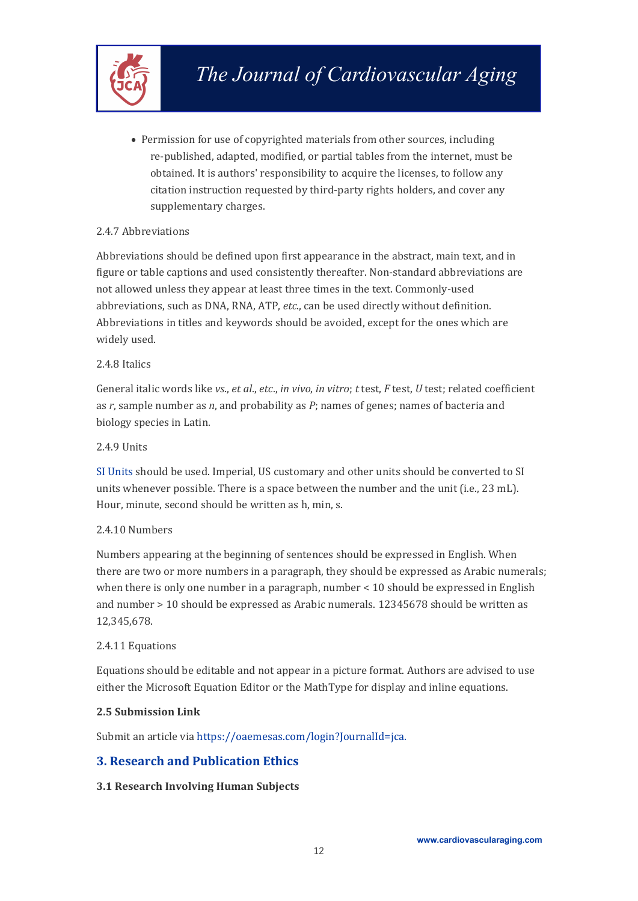

 Permission for use of copyrighted materials from other sources, including re-published, adapted, modified, or partial tables from the internet, must be obtained. It is authors' responsibility to acquire the licenses, to follow any citation instruction requested by third-party rights holders, and cover any supplementary charges.

#### <span id="page-13-0"></span>2.4.7 Abbreviations

Abbreviations should be defined upon first appearance in the abstract, main text, and in figure or table captions and used consistently thereafter. Non-standard abbreviations are not allowed unless they appear at least three times in the text. Commonly-used abbreviations, such as DNA, RNA, ATP, *etc*., can be used directly without definition. Abbreviations in titles and keywords should be avoided, except for the ones which are widely used.

#### <span id="page-13-1"></span>2.4.8 Italics

General italic words like *vs*., *et al*., *etc*., *in vivo*, *in vitro*; *t* test, *F* test, *U* test;related coefficient as *r*, sample number as *n*, and probability as *P*; names of genes; names of bacteria and biology species in Latin.

#### <span id="page-13-2"></span>2.4.9 Units

SI [Units](https://www.nist.gov/pml/weights-and-measures/metric-si/si-units) should be used. Imperial, US customary and other units should be converted to SI units whenever possible.There is a space between the number and the unit (i.e., 23 mL). Hour, minute, second should bewritten as h, min, s.

#### <span id="page-13-3"></span>2.4.10 Numbers

Numbers appearing at the beginning of sentences should be expressed in English. When there are two or more numbers in a paragraph, they should be expressed as Arabic numerals; when there is only one number in a paragraph, number  $\leq 10$  should be expressed in English and number > 10 should be expressed as Arabic numerals. 12345678 should be written as 12,345,678.

#### <span id="page-13-4"></span>2.4.11 Equations

Equations should beeditable and not appear in a picture format. Authors are advised to use either the Microsoft Equation Editor or the MathType for display and inline equations.

#### <span id="page-13-5"></span>**2.5 Submission Link**

Submit an article via [https://oaemesas.com/login?JournalId=jca.](https://oaemesas.com/login?JournalId=jca)

#### <span id="page-13-6"></span>**3. Research and Publication Ethics**

#### <span id="page-13-7"></span>**3.1 Research Involving Human Subjects**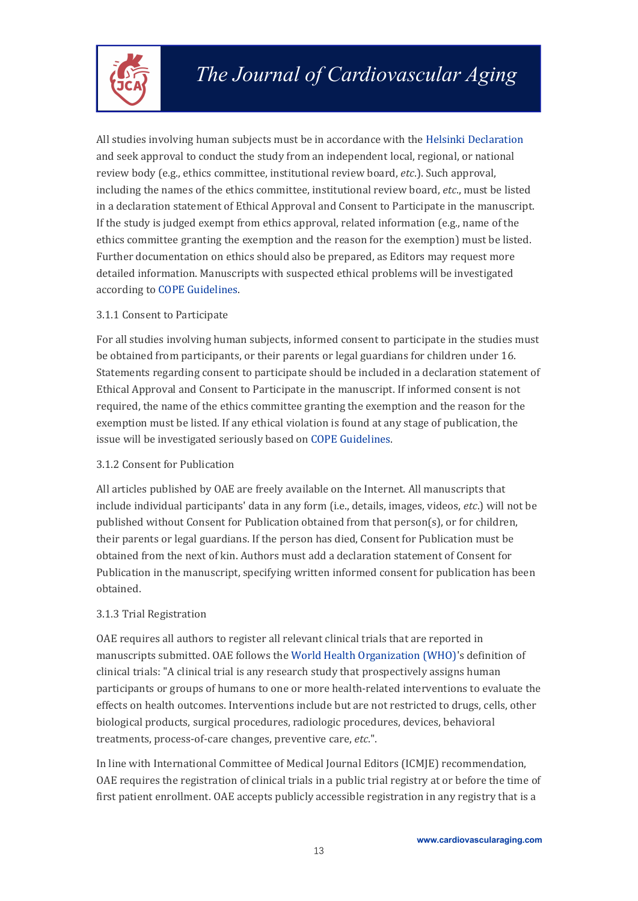

All studies involving human subjects must be in accordance with the Helsinki [Declaration](https://www.wma.net/policies-post/wma-declaration-of-helsinki-ethical-principles-for-medical-research-involving-human-subjects/) and seek approval to conduct the study from an independent local, regional, or national review body (e.g., ethics committee, institutional review board, *etc*.). Such approval, including the names of the ethics committee, institutional review board, *etc*., must be listed in a declaration statement of Ethical Approval and Consent to Participate in the manuscript.<br>If the study is judged exempt from ethics approval, related information (e.g., name of the ethics committee granting the exemption and the reason for the exemption) must be listed. Further documentation on ethics should also be prepared, as Editors may request more detailed information. Manuscripts with suspected ethical problems will be investigated according to COPE [Guidelines](https://publicationethics.org/guidance/Guidelines).

#### <span id="page-14-0"></span>3.1.1 Consent to Participate

For all studies involving human subjects, informed consent to participate in the studies must be obtained from participants, or their parents or legal guardians for children under 16. Statements regarding consent to participate should be included in a declaration statement of Ethical Approval and Consent to Participate in the manuscript.If informed consent is not required, the name of the ethics committee granting the exemption and the reason for the exemption must be listed. If any ethical violation is found at any stage of publication, the issue will be investigated seriously based on COPE [Guidelines.](https://publicationethics.org/guidance/Guidelines)

#### <span id="page-14-1"></span>3.1.2 Consent for Publication

All articles published by OAE arefreely available on the Internet. All manuscripts that include individual participants' data in any form (i.e., details, images, videos,*etc*.) will not be published without Consent for Publication obtained from that person(s), or for children, their parents or legal guardians. If the person has died, Consent for Publication must be obtained from the next of kin. Authors must add a declaration statement of Consent for Publication in the manuscript, specifying written informed consent for publication has been obtained.

#### <span id="page-14-2"></span>3.1.3 Trial Registration

OAE requires all authors to register all relevant clinical trials that are reported in manuscripts submitted. OAE follows the World Health [Organization](https://www.who.int/clinical-trials-registry-platform) (WHO)'s definition of clinical trials: "A clinical trial is any research study that prospectively assigns human participants or groups of humans to one or more health-related interventions to evaluate the effects on health outcomes. Interventions include but are not restricted to drugs, cells, other biological products, surgical procedures, radiologic procedures, devices, behavioral treatments, process-of-care changes, preventive care, *etc*.".

In line with International Committee of Medical Journal Editors (ICMJE) recommendation, OAE requires the registration of clinical trials in a public trial registry at or before the time of first patient enrollment. OAE accepts publicly accessible registration in any registry that is a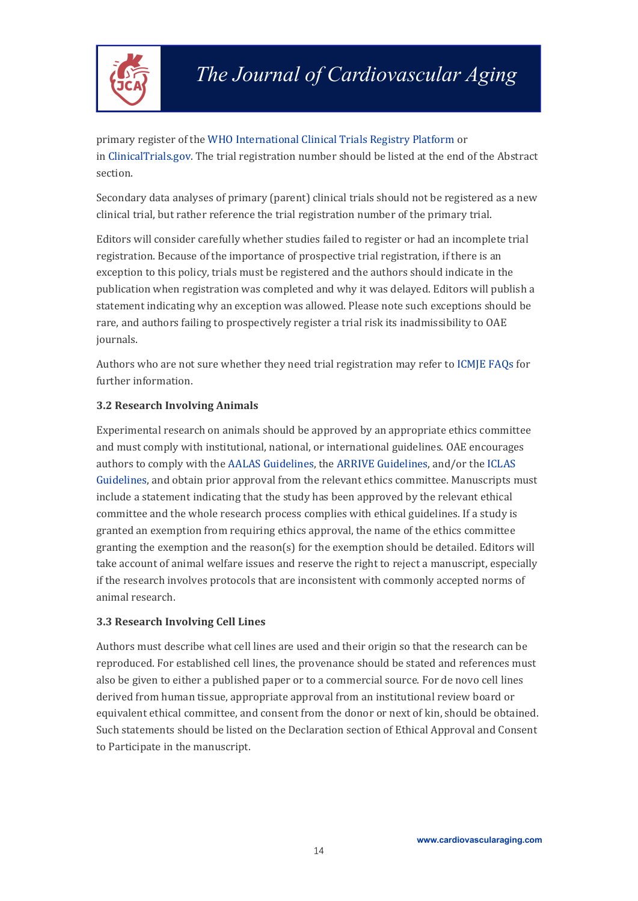

primary register of the WHO [International](https://www.who.int/clinical-trials-registry-platform) Clinical Trials Registry Platform or in [ClinicalTrials.gov](https://clinicaltrials.gov/). The trial registration number should be listed at the end of the Abstract section.

Secondary data analyses of primary (parent) clinical trials should not be registered as a new clinical trial, but rather reference the trial registration number of the primary trial.

Editors will consider carefully whether studies failed to register or had an incomplete trial registration. Because of the importance of prospective trial registration, if there is an exception to this policy, trials must be registered and the authors should indicate in the publication when registration was completed and why it was delayed. Editors will publish a statement indicating why an exception was allowed. Please note such exceptions should be rare, and authors failing to prospectively register a trial risk its inadmissibility to OAE journals.

Authors who are not sure whether they need trial registration may refer to ICMIE FAOs for further information.

#### <span id="page-15-0"></span>**3.2 Research Involving Animals**

Experimental research on animals should be approved by an appropriate ethics committee and must comply with institutional, national, or international guidelines. OAE encourages authors to comply with the AALAS [Guidelines](https://www.aalas.org/iacuc/laws-policies-guidelines), the ARRIVE [Guidelines,](https://arriveguidelines.org/) and/or the [ICLAS](https://iclas.org/guidelines-for-researchers/) Guidelines, and obtain prior approval from the relevant ethics committee. Manuscripts must include a statement indicating that the study has been approved by the relevant ethical committee and the whole research process complies with ethical guidelines. If a study is granted an exemption from requiring ethics approval, the name of the ethics committee granting the exemption and the reason(s) for the exemption should be detailed. Editors will take account of animal welfare issues and reserve the right to reject a manuscript, especially if the research involves protocols that are inconsistent with commonly accepted norms of animal research.

#### <span id="page-15-1"></span>**3.3 Research Involving Cell Lines**

Authors must describe what cell lines are used and their origin so that the research can be reproduced. For established cell lines, the provenance should be stated and references must also be given to either a published paper or to a commercial source. For de novo cell lines derived from human tissue, appropriate approval from an institutional review board or equivalent ethical committee, and consent from the donor or next of kin, should be obtained. Such statements should belisted on the Declaration section of Ethical Approval and Consent to Participate in the manuscript.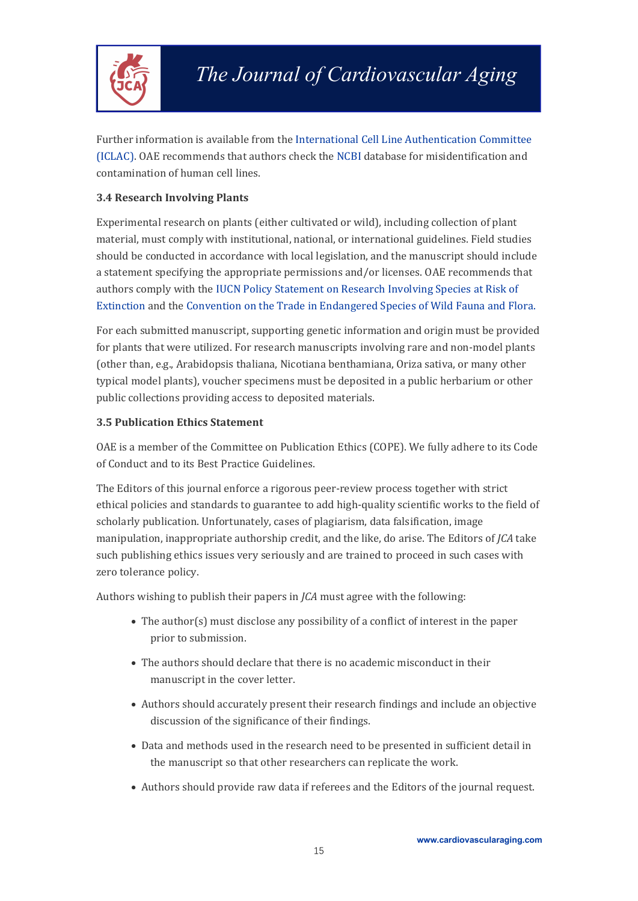

Further information is available from the International Cell Line [Authentication](https://standards.atcc.org/kwspub/home/the_international_cell_line_authentication_committee-iclac_/) Committee (ICLAC). OAE recommends that authors check the [NCBI](https://www.ncbi.nlm.nih.gov/) database for misidentification and contamination of human cell lines.

#### <span id="page-16-0"></span>**3.4 Research Involving Plants**

Experimental research on plants (either cultivated or wild), including collection of plant material, must comply with institutional, national, or international guidelines. Field studies should be conducted in accordance with local legislation, and the manuscript should include a statement specifying the appropriate permissions and/or licenses. OAE recommends that authors comply with the IUCN Policy [Statement](https://portals.iucn.org/library/efiles/documents/PP-003-En.pdf) on Research Involving Species at Risk of Extinction and the Convention on the Trade in [Endangered](https://cites.org/eng) Species of Wild Fauna and Flora.

For each submitted manuscript, supporting genetic information and origin must be provided for plants that were utilized. For research manuscripts involving rare and non-model plants (other than, e.g., Arabidopsis thaliana, Nicotiana benthamiana, Oriza sativa, or many other typical model plants), voucher specimens must be deposited in a public herbarium or other public collections providing access to deposited materials.

#### <span id="page-16-1"></span>**3.5 Publication Ethics Statement**

OAE is amember of the Committee on Publication Ethics (COPE). We fully adhere to its Code of Conduct and to its Best Practice Guidelines.

The Editors of this journal enforce a rigorous peer-review process together with strict ethical policies and standards to guarantee to add high-quality scientific works to the field of scholarly publication. Unfortunately, cases of plagiarism, data falsification, image manipulation, inappropriate authorship credit, and the like, do arise. The Editors of *JCA* take such publishing ethics issues very seriously and are trained to proceed in such cases with zero tolerance policy.

Authors wishing to publish their papers in *JCA* must agree with the following:

- $\bullet$  The author(s) must disclose any possibility of a conflict of interest in the paper prior to submission.
- The authors should declare that there is no academic misconduct in their manuscript in the cover letter.
- Authors should accurately present their research findings and include an objective discussion of the significance of their findings.
- Data and methods used in the research need to be presented in sufficient detail in the manuscript so that other researchers can replicate the work.
- Authors should provide raw data if referees and the Editors of the journal request.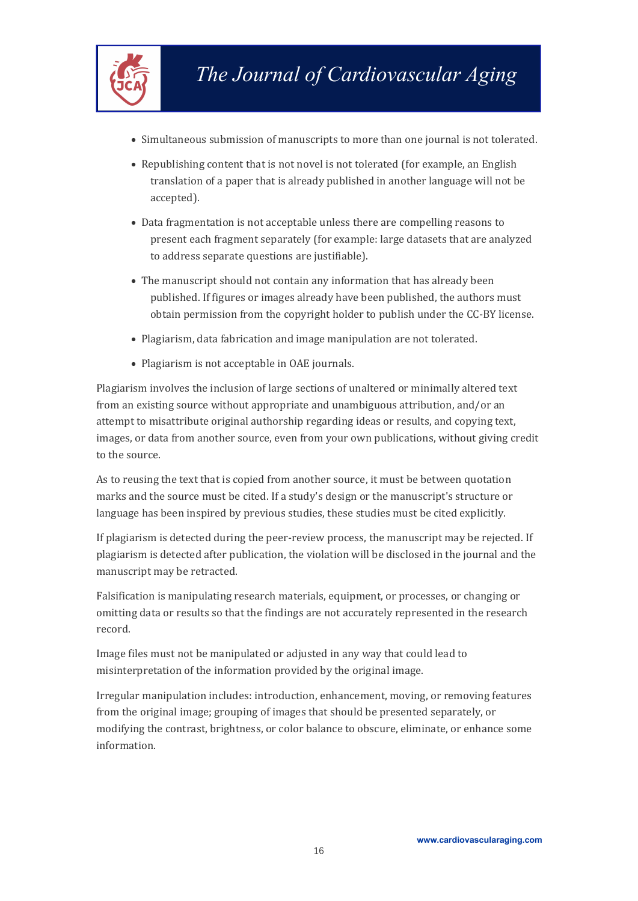

- Simultaneous submission of manuscripts to more than one journal is not tolerated.
- Republishing content that is not novel is not tolerated (for example, an English translation of a paper that is already published in another language will not be accepted).
- Data fragmentation is not acceptable unless there are compelling reasons to present each fragment separately (for example: large datasets that are analyzed to address separate questions are justifiable).
- The manuscript should not contain any information that has already been published. If figures or images already have been published, the authors must obtain permission from the copyright holder to publish under the CC-BY license.
- Plagiarism, data fabrication and image manipulation are not tolerated.
- Plagiarism is not acceptable in OAE journals.

Plagiarism involves the inclusion of large sections of unaltered or minimally altered text from an existing source without appropriate and unambiguous attribution, and/or an attempt to misattribute original authorship regarding ideas or results, and copying text, images, or data from another source, even from your own publications, without giving credit to the source.

As to reusing the text that is copied from another source, it must be between quotation marks and the source must be cited. If a study's design or the manuscript's structure or language has been inspired by previous studies, these studies must be cited explicitly.

If plagiarism is detected during the peer-review process, the manuscript may be rejected. If plagiarism is detected after publication, the violation will be disclosed in the journal and the manuscript may be retracted.<br>Falsification is manipulating research materials, equipment, or processes, or changing or

omitting data or results so that the findings are not accurately represented in the research record.

Image files must not be manipulated or adjusted in any way that could lead to misinterpretation of the information provided by the original image.

Irregular manipulation includes: introduction, enhancement, moving, or removing features from the original image; grouping of images that should be presented separately, or modifying the contrast, brightness, or color balance to obscure, eliminate, or enhance some information.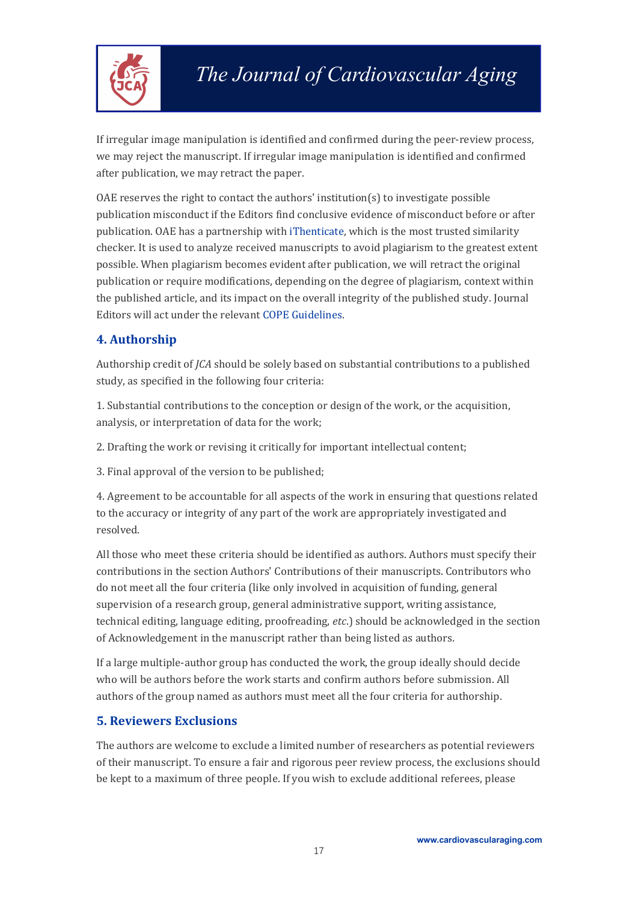

If irregular image manipulation is identified and confirmed during the peer-review process, we may reject the manuscript.If irregular image manipulation is identified and confirmed after publication, we may retract the paper.

OAE reserves the right to contact the authors' institution( $s$ ) to investigate possible publication misconduct if the Editors find conclusive evidence of misconduct before or after publication. OAE has a partnership with [iThenticate](https://www.ithenticate.com/), which is the most trusted similarity checker. It is used to analyze received manuscripts to avoid plagiarism to the greatest extent possible. When plagiarism becomes evident after publication, we will retract the original publication or require modifications, depending on the degree of plagiarism, context within the published article, and its impact on the overall integrity of the published study. Journal Editors will act under the relevant COPE [Guidelines.](https://publicationethics.org/guidance/Guidelines)

# <span id="page-18-0"></span>**4. Authorship**

Authorship credit of *JCA* should be solely based on substantial contributions to a published study, as specified in the following four criteria:

1. Substantial contributions to the conception or design of the work, or the acquisition, analysis, or interpretation of data for the work;

2. Drafting the work or revising it critically for important intellectual content;

3. Final approval of the version to be published;

4. Agreement to be accountable for all aspects of the work in ensuring that questions related to the accuracy or integrity of any part of the work are appropriately investigated and resolved.

All those who meet these criteria should be identified as authors. Authors must specify their contributions in the section Authors' Contributions of their manuscripts. Contributors who do not meet all the four criteria (like only involved in acquisition of funding, general supervision of a research group, general administrative support, writing assistance, technical editing, language editing, proofreading, *etc*.) should beacknowledged in the section of Acknowledgement in the manuscript rather than being listed as authors.

If a large multiple-author group has conducted the work, the group ideally should decide who will be authors before the work starts and confirm authors before submission. All authors of the group named as authors must meet all the four criteria for authorship.

### <span id="page-18-1"></span>**5. Reviewers Exclusions**

The authors are welcome to exclude a limited number of researchers as potential reviewers of their manuscript. To ensure a fair and rigorous peer review process, the exclusions should be kept to a maximum of three people. If you wish to exclude additional referees, please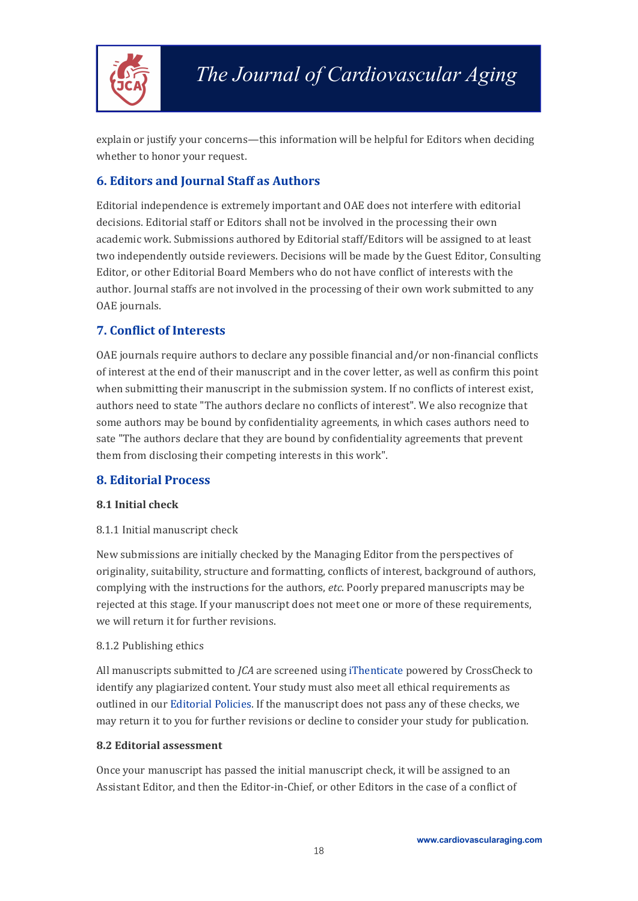

explain or justify your concerns—this information will be helpful for Editors when deciding whether to honor your request.

# <span id="page-19-0"></span>**6. Editors and Journal Staff as Authors**

Editorial independence is extremely important and OAE does not interfere with editorial decisions. Editorial staff or Editors shall not be involved in the processing their own academic work. Submissions authored by Editorial staff/Editors will be assigned to at least two independently outside reviewers. Decisions will be made by the Guest Editor, Consulting Editor, or other Editorial Board Members who do not have conflict of interests with the author. Journal staffs are not involved in the processing of their own work submitted to any OAE journals.

# <span id="page-19-1"></span>**7. Conflict of Interests**

OAE journals require authors to declare any possible financial and/or non-financial conflicts of interest at the end of their manuscript and in the cover letter, as well as confirm this point when submitting their manuscript in the submission system. If no conflicts of interest exist, authors need to state "The authors declare no conflicts of interest". We also recognize that some authors may be bound by confidentiality agreements, in which cases authors need to sate "The authors declare that they are bound by confidentiality agreements that prevent them from disclosing their competing interests in this work".

### <span id="page-19-2"></span>**8. Editorial Process**

#### <span id="page-19-3"></span>**8.1 Initial check**

#### <span id="page-19-4"></span>8.1.1 Initial manuscript check

New submissions are initially checked by the Managing Editor from the perspectives of originality, suitability, structure and formatting, conflicts of interest, background of authors, complying with the instructions for the authors, *etc*. Poorly prepared manuscripts may be rejected at this stage. If your manuscript does not meet one or more of these requirements, we will return it for further revisions.

#### <span id="page-19-5"></span>8.1.2 Publishing ethics

All manuscripts submitted to *JCA* are screened using [iThenticate](https://www.ithenticate.com/) powered by CrossCheck to identify any plagiarized content. Your study must also meet allethical requirements as outlined in our [Editorial](https://cardiovascularaging.com/pages/view/editorial_policies) Policies. If the manuscript does not pass any of these checks, we may return it to you for further revisions or decline to consider your study for publication.

#### <span id="page-19-6"></span>**8.2 Editorial assessment**

Once your manuscript has passed the initial manuscript check, it will be assigned to an Assistant Editor, and then the Editor-in-Chief, or other Editors in the case of a conflict of